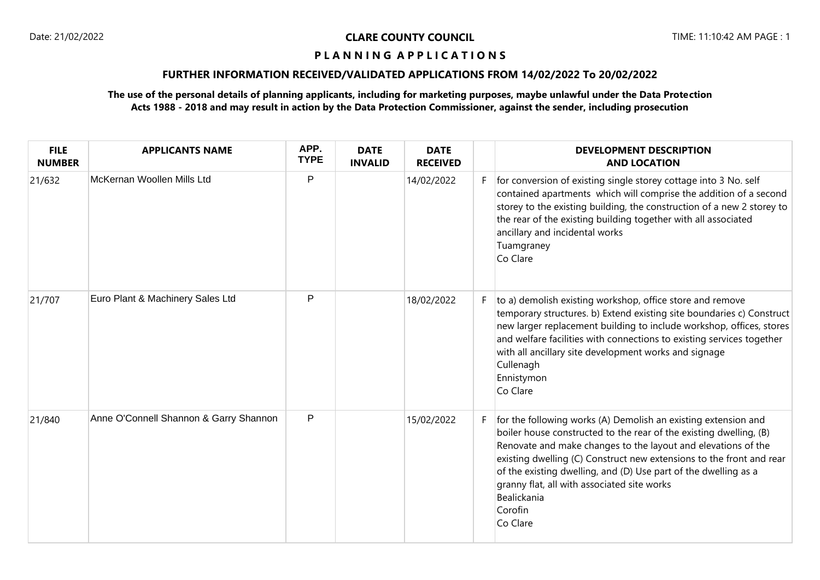### **P L A N N I N G A P P L I C A T I O N S**

### **FURTHER INFORMATION RECEIVED/VALIDATED APPLICATIONS FROM 14/02/2022 To 20/02/2022**

### **The use of the personal details of planning applicants, including for marketing purposes, maybe unlawful under the Data Protection Acts 1988 - 2018 and may result in action by the Data Protection Commissioner, against the sender, including prosecution**

| <b>FILE</b><br><b>NUMBER</b> | <b>APPLICANTS NAME</b>                 | APP.<br><b>TYPE</b> | <b>DATE</b><br><b>INVALID</b> | <b>DATE</b><br><b>RECEIVED</b> |    | <b>DEVELOPMENT DESCRIPTION</b><br><b>AND LOCATION</b>                                                                                                                                                                                                                                                                                                                                                                                 |
|------------------------------|----------------------------------------|---------------------|-------------------------------|--------------------------------|----|---------------------------------------------------------------------------------------------------------------------------------------------------------------------------------------------------------------------------------------------------------------------------------------------------------------------------------------------------------------------------------------------------------------------------------------|
| 21/632                       | McKernan Woollen Mills Ltd             | P                   |                               | 14/02/2022                     | F. | for conversion of existing single storey cottage into 3 No. self<br>contained apartments which will comprise the addition of a second<br>storey to the existing building, the construction of a new 2 storey to<br>the rear of the existing building together with all associated<br>ancillary and incidental works<br>Tuamgraney<br>Co Clare                                                                                         |
| 21/707                       | Euro Plant & Machinery Sales Ltd       | P                   |                               | 18/02/2022                     | F. | to a) demolish existing workshop, office store and remove<br>temporary structures. b) Extend existing site boundaries c) Construct<br>new larger replacement building to include workshop, offices, stores<br>and welfare facilities with connections to existing services together<br>with all ancillary site development works and signage<br>Cullenagh<br>Ennistymon<br>Co Clare                                                   |
| 21/840                       | Anne O'Connell Shannon & Garry Shannon | P                   |                               | 15/02/2022                     |    | for the following works (A) Demolish an existing extension and<br>boiler house constructed to the rear of the existing dwelling, (B)<br>Renovate and make changes to the layout and elevations of the<br>existing dwelling (C) Construct new extensions to the front and rear<br>of the existing dwelling, and (D) Use part of the dwelling as a<br>granny flat, all with associated site works<br>Bealickania<br>Corofin<br>Co Clare |